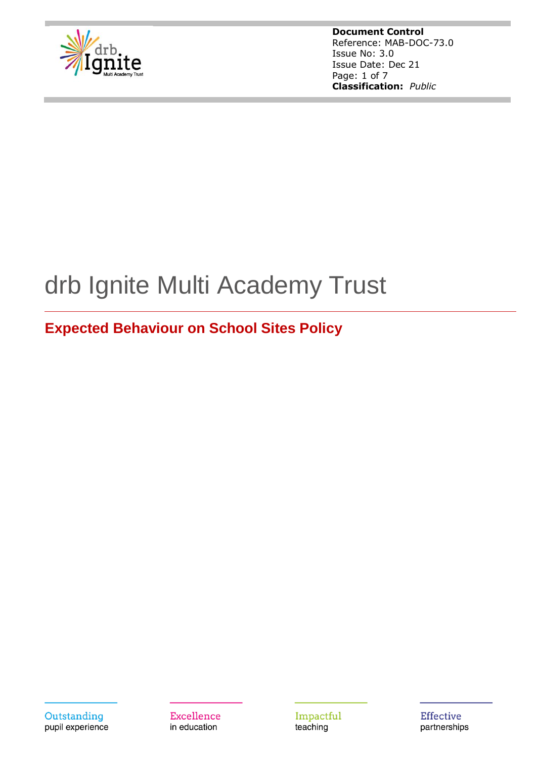

**Document Control** Reference: MAB-DOC-73.0 Issue No: 3.0 Issue Date: Dec 21 Page: 1 of 7 **Classification:** *Public*

# drb Ignite Multi Academy Trust

## **Expected Behaviour on School Sites Policy**

Outstanding pupil experience

**Excellence** in education

Impactful teaching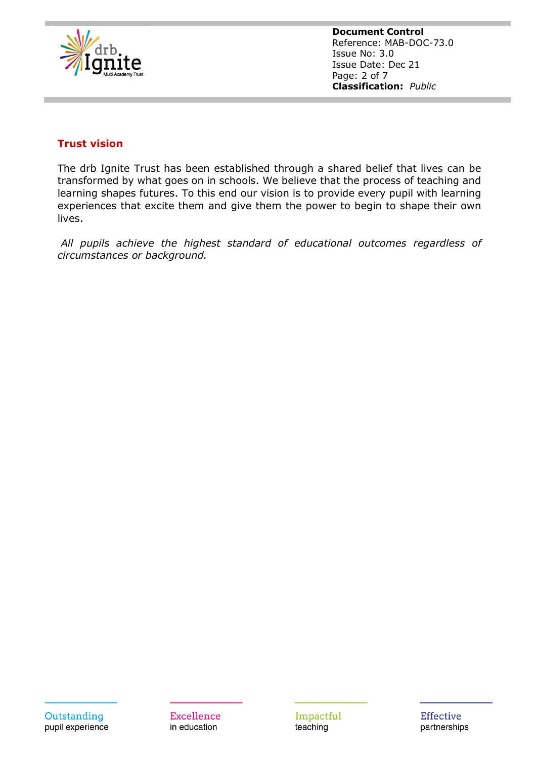

**Document Control** Reference: MAB-DOC-73.0 Issue No: 3.0 Issue Date: Dec 21 Page: 2 of 7 **Classification:** *Public*

#### **Trust vision**

The drb Ignite Trust has been established through a shared belief that lives can be transformed by what goes on in schools. We believe that the process of teaching and learning shapes futures. To this end our vision is to provide every pupil with learning experiences that excite them and give them the power to begin to shape their own lives.

*All pupils achieve the highest standard of educational outcomes regardless of circumstances or background.*

**Excellence** in education

Impactful teaching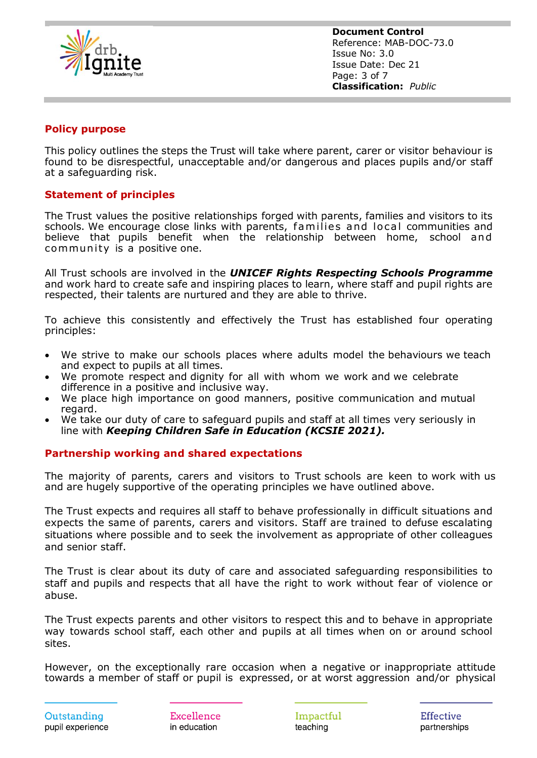

**Document Control** Reference: MAB-DOC-73.0 Issue No: 3.0 Issue Date: Dec 21 Page: 3 of 7 **Classification:** *Public*

#### **Policy purpose**

This policy outlines the steps the Trust will take where parent, carer or visitor behaviour is found to be disrespectful, unacceptable and/or dangerous and places pupils and/or staff at a safeguarding risk.

#### **Statement of principles**

The Trust values the positive relationships forged with parents, families and visitors to its schools. We encourage close links with parents, families and local communities and believe that pupils benefit when the relationship between home, school and community is a positive one.

All Trust schools are involved in the *UNICEF Rights Respecting Schools Programme* and work hard to create safe and inspiring places to learn, where staff and pupil rights are respected, their talents are nurtured and they are able to thrive.

To achieve this consistently and effectively the Trust has established four operating principles:

- We strive to make our schools places where adults model the behaviours we teach and expect to pupils at all times.
- We promote respect and dignity for all with whom we work and we celebrate difference in a positive and inclusive way.
- We place high importance on good manners, positive communication and mutual regard.
- We take our duty of care to safeguard pupils and staff at all times very seriously in line with *Keeping Children Safe in Education (KCSIE 2021).*

#### **Partnership working and shared expectations**

The majority of parents, carers and visitors to Trust schools are keen to work with us and are hugely supportive of the operating principles we have outlined above.

The Trust expects and requires all staff to behave professionally in difficult situations and expects the same of parents, carers and visitors. Staff are trained to defuse escalating situations where possible and to seek the involvement as appropriate of other colleagues and senior staff.

The Trust is clear about its duty of care and associated safeguarding responsibilities to staff and pupils and respects that all have the right to work without fear of violence or abuse.

The Trust expects parents and other visitors to respect this and to behave in appropriate way towards school staff, each other and pupils at all times when on or around school sites.

However, on the exceptionally rare occasion when a negative or inappropriate attitude towards a member of staff or pupil is expressed, or at worst aggression and/or physical

Outstanding pupil experience

Excellence in education

Impactful teaching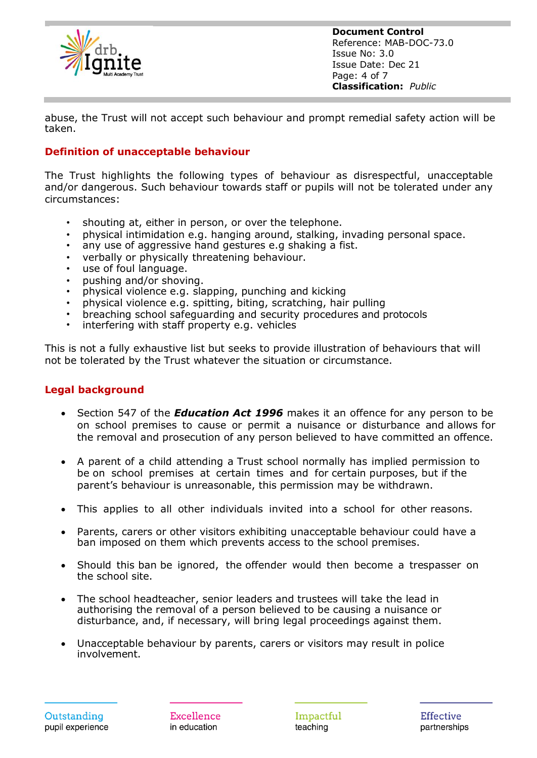

**Document Control** Reference: MAB-DOC-73.0 Issue No: 3.0 Issue Date: Dec 21 Page: 4 of 7 **Classification:** *Public*

abuse, the Trust will not accept such behaviour and prompt remedial safety action will be taken.

#### **Definition of unacceptable behaviour**

The Trust highlights the following types of behaviour as disrespectful, unacceptable and/or dangerous. Such behaviour towards staff or pupils will not be tolerated under any circumstances:

- shouting at, either in person, or over the telephone.
- physical intimidation e.g. hanging around, stalking, invading personal space.
- any use of aggressive hand gestures e.g shaking a fist.
- verbally or physically threatening behaviour.
- use of foul language.
- pushing and/or shoving.
- physical violence e.g. slapping, punching and kicking
- physical violence e.g. spitting, biting, scratching, hair pulling
- breaching school safeguarding and security procedures and protocols
- interfering with staff property e.g. vehicles

This is not a fully exhaustive list but seeks to provide illustration of behaviours that will not be tolerated by the Trust whatever the situation or circumstance.

#### **Legal background**

- Section 547 of the *Education Act 1996* makes it an offence for any person to be on school premises to cause or permit a nuisance or disturbance and allows for the removal and prosecution of any person believed to have committed an offence.
- A parent of a child attending a Trust school normally has implied permission to be on school premises at certain times and for certain purposes, but if the parent's behaviour is unreasonable, this permission may be withdrawn.
- This applies to all other individuals invited into a school for other reasons.
- Parents, carers or other visitors exhibiting unacceptable behaviour could have a ban imposed on them which prevents access to the school premises.
- Should this ban be ignored, the offender would then become a trespasser on the school site.
- The school headteacher, senior leaders and trustees will take the lead in authorising the removal of a person believed to be causing a nuisance or disturbance, and, if necessary, will bring legal proceedings against them.
- Unacceptable behaviour by parents, carers or visitors may result in police involvement.

Excellence in education

Impactful teaching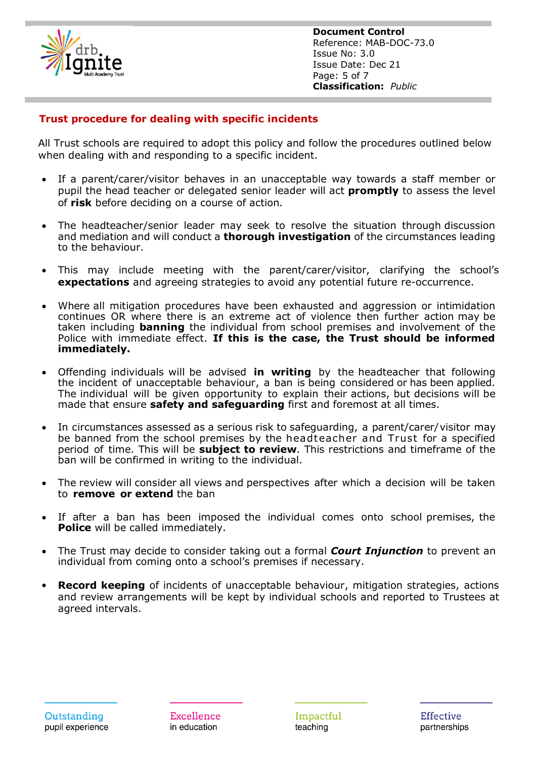

#### **Trust procedure for dealing with specific incidents**

All Trust schools are required to adopt this policy and follow the procedures outlined below when dealing with and responding to a specific incident.

- If a parent/carer/visitor behaves in an unacceptable way towards a staff member or pupil the head teacher or delegated senior leader will act **promptly** to assess the level of **risk** before deciding on a course of action.
- The headteacher/senior leader may seek to resolve the situation through discussion and mediation and will conduct a **thorough investigation** of the circumstances leading to the behaviour.
- This may include meeting with the parent/carer/visitor, clarifying the school's **expectations** and agreeing strategies to avoid any potential future re-occurrence.
- Where all mitigation procedures have been exhausted and aggression or intimidation continues OR where there is an extreme act of violence then further action may be taken including **banning** the individual from school premises and involvement of the Police with immediate effect. **If this is the case, the Trust should be informed immediately.**
- Offending individuals will be advised **in writing** by the headteacher that following the incident of unacceptable behaviour, a ban is being considered or has been applied. The individual will be given opportunity to explain their actions, but decisions will be made that ensure **safety and safeguarding** first and foremost at all times.
- In circumstances assessed as a serious risk to safeguarding, a parent/carer/visitor may be banned from the school premises by the headteacher and Trust for a specified period of time. This will be **subject to review**. This restrictions and timeframe of the ban will be confirmed in writing to the individual.
- The review will consider all views and perspectives after which a decision will be taken to **remove or extend** the ban
- If after a ban has been imposed the individual comes onto school premises, the **Police** will be called immediately.
- The Trust may decide to consider taking out a formal *Court Injunction* to prevent an individual from coming onto a school's premises if necessary.
- **Record keeping** of incidents of unacceptable behaviour, mitigation strategies, actions and review arrangements will be kept by individual schools and reported to Trustees at agreed intervals.

Excellence in education

Impactful teaching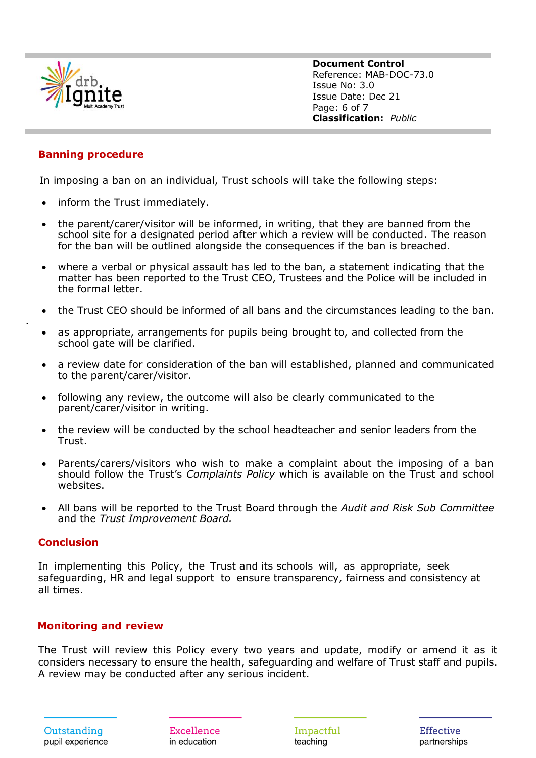

**Document Control** Reference: MAB-DOC-73.0 Issue No: 3.0 Issue Date: Dec 21 Page: 6 of 7 **Classification:** *Public*

#### **Banning procedure**

In imposing a ban on an individual, Trust schools will take the following steps:

- inform the Trust immediately.
- the parent/carer/visitor will be informed, in writing, that they are banned from the school site for a designated period after which a review will be conducted. The reason for the ban will be outlined alongside the consequences if the ban is breached.
- where a verbal or physical assault has led to the ban, a statement indicating that the matter has been reported to the Trust CEO, Trustees and the Police will be included in the formal letter.
- the Trust CEO should be informed of all bans and the circumstances leading to the ban.
- as appropriate, arrangements for pupils being brought to, and collected from the school gate will be clarified.
- a review date for consideration of the ban will established, planned and communicated to the parent/carer/visitor.
- following any review, the outcome will also be clearly communicated to the parent/carer/visitor in writing.
- the review will be conducted by the school headteacher and senior leaders from the Trust.
- Parents/carers/visitors who wish to make a complaint about the imposing of a ban should follow the Trust's *Complaints Policy* which is available on the Trust and school websites.
- All bans will be reported to the Trust Board through the *Audit and Risk Sub Committee* and the *Trust Improvement Board.*

#### **Conclusion**

.

In implementing this Policy, the Trust and its schools will, as appropriate, seek safeguarding, HR and legal support to ensure transparency, fairness and consistency at all times.

#### **Monitoring and review**

The Trust will review this Policy every two years and update, modify or amend it as it considers necessary to ensure the health, safeguarding and welfare of Trust staff and pupils. A review may be conducted after any serious incident.

Excellence in education

Impactful teaching